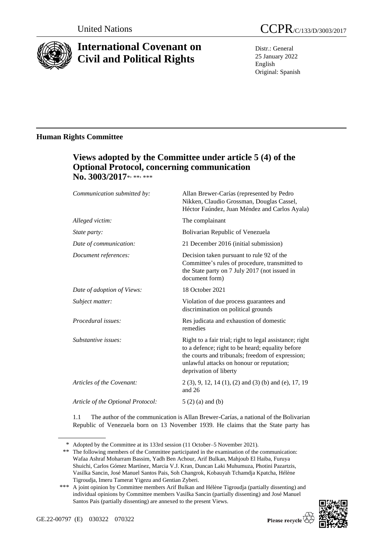

# **International Covenant on Civil and Political Rights**

Distr.: General 25 January 2022 English Original: Spanish

## **Human Rights Committee**

# **Views adopted by the Committee under article 5 (4) of the Optional Protocol, concerning communication**  No. 3003/2017\*<sub>\*\*\*\*</sub>

| Communication submitted by:       | Allan Brewer-Carías (represented by Pedro<br>Nikken, Claudio Grossman, Douglas Cassel,<br>Héctor Faúndez, Juan Méndez and Carlos Ayala)                                                                                                |
|-----------------------------------|----------------------------------------------------------------------------------------------------------------------------------------------------------------------------------------------------------------------------------------|
| Alleged victim:                   | The complainant                                                                                                                                                                                                                        |
| State party:                      | Bolivarian Republic of Venezuela                                                                                                                                                                                                       |
| Date of communication:            | 21 December 2016 (initial submission)                                                                                                                                                                                                  |
| Document references:              | Decision taken pursuant to rule 92 of the<br>Committee's rules of procedure, transmitted to<br>the State party on 7 July 2017 (not issued in<br>document form)                                                                         |
| Date of adoption of Views:        | 18 October 2021                                                                                                                                                                                                                        |
| Subject matter:                   | Violation of due process guarantees and<br>discrimination on political grounds                                                                                                                                                         |
| Procedural issues:                | Res judicata and exhaustion of domestic<br>remedies                                                                                                                                                                                    |
| Substantive issues:               | Right to a fair trial; right to legal assistance; right<br>to a defence; right to be heard; equality before<br>the courts and tribunals; freedom of expression;<br>unlawful attacks on honour or reputation;<br>deprivation of liberty |
| Articles of the Covenant:         | $2(3)$ , 9, 12, 14 (1), (2) and (3) (b) and (e), 17, 19<br>and $26$                                                                                                                                                                    |
| Article of the Optional Protocol: | $5(2)(a)$ and $(b)$                                                                                                                                                                                                                    |

1.1 The author of the communication is Allan Brewer-Carías, a national of the Bolivarian Republic of Venezuela born on 13 November 1939. He claims that the State party has

<sup>\*\*\*</sup> A joint opinion by Committee members Arif Bulkan and Hélène Tigroudja (partially dissenting) and individual opinions by Committee members Vasilka Sancin (partially dissenting) and José Manuel Santos Pais (partially dissenting) are annexed to the present Views.



<sup>\*</sup> Adopted by the Committee at its 133rd session (11 October–5 November 2021).

<sup>\*\*</sup> The following members of the Committee participated in the examination of the communication: Wafaa Ashraf Moharram Bassim, Yadh Ben Achour, Arif Bulkan, Mahjoub El Haiba, Furuya Shuichi, Carlos Gómez Martínez, Marcia V.J. Kran, Duncan Laki Muhumuza, Photini Pazartzis, Vasilka Sancin, José Manuel Santos Pais, Soh Changrok, Kobauyah Tchamdja Kpatcha, Hélène Tigroudja, Imeru Tamerat Yigezu and Gentian Zyberi.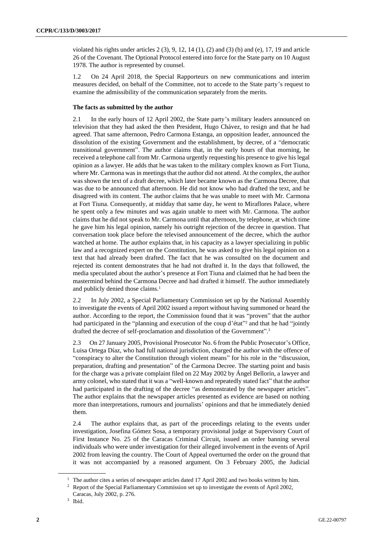violated his rights under articles  $2(3)$ ,  $9$ ,  $12$ ,  $14(1)$ ,  $(2)$  and  $(3)$  (b) and  $(e)$ ,  $17$ ,  $19$  and article 26 of the Covenant. The Optional Protocol entered into force for the State party on 10 August 1978. The author is represented by counsel.

1.2 On 24 April 2018, the Special Rapporteurs on new communications and interim measures decided, on behalf of the Committee, not to accede to the State party's request to examine the admissibility of the communication separately from the merits.

#### **The facts as submitted by the author**

2.1 In the early hours of 12 April 2002, the State party's military leaders announced on television that they had asked the then President, Hugo Chávez, to resign and that he had agreed. That same afternoon, Pedro Carmona Estanga, an opposition leader, announced the dissolution of the existing Government and the establishment, by decree, of a "democratic transitional government". The author claims that, in the early hours of that morning, he received a telephone call from Mr. Carmona urgently requesting his presence to give his legal opinion as a lawyer. He adds that he was taken to the military complex known as Fort Tiuna, where Mr. Carmona was in meetings that the author did not attend. At the complex, the author was shown the text of a draft decree, which later became known as the Carmona Decree, that was due to be announced that afternoon. He did not know who had drafted the text, and he disagreed with its content. The author claims that he was unable to meet with Mr. Carmona at Fort Tiuna. Consequently, at midday that same day, he went to Miraflores Palace, where he spent only a few minutes and was again unable to meet with Mr. Carmona. The author claims that he did not speak to Mr. Carmona until that afternoon, by telephone, at which time he gave him his legal opinion, namely his outright rejection of the decree in question. That conversation took place before the televised announcement of the decree, which the author watched at home. The author explains that, in his capacity as a lawyer specializing in public law and a recognized expert on the Constitution, he was asked to give his legal opinion on a text that had already been drafted. The fact that he was consulted on the document and rejected its content demonstrates that he had not drafted it. In the days that followed, the media speculated about the author's presence at Fort Tiuna and claimed that he had been the mastermind behind the Carmona Decree and had drafted it himself. The author immediately and publicly denied those claims.<sup>1</sup>

2.2 In July 2002, a Special Parliamentary Commission set up by the National Assembly to investigate the events of April 2002 issued a report without having summoned or heard the author. According to the report, the Commission found that it was "proven" that the author had participated in the "planning and execution of the coup d'état" <sup>2</sup> and that he had "jointly drafted the decree of self-proclamation and dissolution of the Government". 3

2.3 On 27 January 2005, Provisional Prosecutor No. 6 from the Public Prosecutor's Office, Luisa Ortega Díaz, who had full national jurisdiction, charged the author with the offence of "conspiracy to alter the Constitution through violent means" for his role in the "discussion, preparation, drafting and presentation" of the Carmona Decree. The starting point and basis for the charge was a private complaint filed on 22 May 2002 by Ángel Bellorín, a lawyer and army colonel, who stated that it was a "well-known and repeatedly stated fact" that the author had participated in the drafting of the decree "as demonstrated by the newspaper articles". The author explains that the newspaper articles presented as evidence are based on nothing more than interpretations, rumours and journalists' opinions and that he immediately denied them.

2.4 The author explains that, as part of the proceedings relating to the events under investigation, Josefina Gómez Sosa, a temporary provisional judge at Supervisory Court of First Instance No. 25 of the Caracas Criminal Circuit, issued an order banning several individuals who were under investigation for their alleged involvement in the events of April 2002 from leaving the country. The Court of Appeal overturned the order on the ground that it was not accompanied by a reasoned argument. On 3 February 2005, the Judicial

<sup>&</sup>lt;sup>1</sup> The author cites a series of newspaper articles dated 17 April 2002 and two books written by him.

<sup>&</sup>lt;sup>2</sup> Report of the Special Parliamentary Commission set up to investigate the events of April 2002, Caracas, July 2002, p. 276.

<sup>3</sup> Ibid.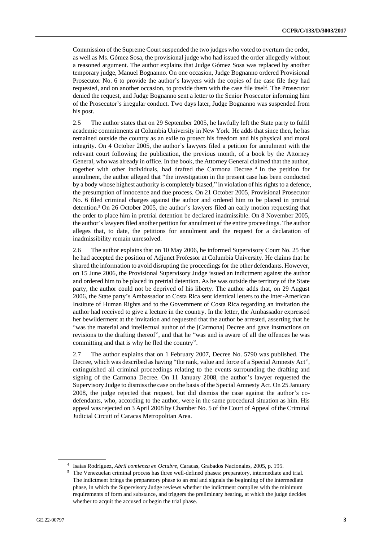Commission of the Supreme Court suspended the two judges who voted to overturn the order, as well as Ms. Gómez Sosa, the provisional judge who had issued the order allegedly without a reasoned argument. The author explains that Judge Gómez Sosa was replaced by another temporary judge, Manuel Bognanno. On one occasion, Judge Bognanno ordered Provisional Prosecutor No. 6 to provide the author's lawyers with the copies of the case file they had requested, and on another occasion, to provide them with the case file itself. The Prosecutor denied the request, and Judge Bognanno sent a letter to the Senior Prosecutor informing him of the Prosecutor's irregular conduct. Two days later, Judge Bognanno was suspended from his post.

2.5 The author states that on 29 September 2005, he lawfully left the State party to fulfil academic commitments at Columbia University in New York. He adds that since then, he has remained outside the country as an exile to protect his freedom and his physical and moral integrity. On 4 October 2005, the author's lawyers filed a petition for annulment with the relevant court following the publication, the previous month, of a book by the Attorney General, who was already in office. In the book, the Attorney General claimed that the author, together with other individuals, had drafted the Carmona Decree. <sup>4</sup> In the petition for annulment, the author alleged that "the investigation in the present case has been conducted by a body whose highest authority is completely biased," in violation of his rights to a defence, the presumption of innocence and due process. On 21 October 2005, Provisional Prosecutor No. 6 filed criminal charges against the author and ordered him to be placed in pretrial detention.<sup>5</sup> On 26 October 2005, the author's lawyers filed an early motion requesting that the order to place him in pretrial detention be declared inadmissible. On 8 November 2005, the author's lawyers filed another petition for annulment of the entire proceedings. The author alleges that, to date, the petitions for annulment and the request for a declaration of inadmissibility remain unresolved.

2.6 The author explains that on 10 May 2006, he informed Supervisory Court No. 25 that he had accepted the position of Adjunct Professor at Columbia University. He claims that he shared the information to avoid disrupting the proceedings for the other defendants. However, on 15 June 2006, the Provisional Supervisory Judge issued an indictment against the author and ordered him to be placed in pretrial detention. As he was outside the territory of the State party, the author could not be deprived of his liberty. The author adds that, on 29 August 2006, the State party's Ambassador to Costa Rica sent identical letters to the Inter-American Institute of Human Rights and to the Government of Costa Rica regarding an invitation the author had received to give a lecture in the country. In the letter, the Ambassador expressed her bewilderment at the invitation and requested that the author be arrested, asserting that he "was the material and intellectual author of the [Carmona] Decree and gave instructions on revisions to the drafting thereof", and that he "was and is aware of all the offences he was committing and that is why he fled the country".

2.7 The author explains that on 1 February 2007, Decree No. 5790 was published. The Decree, which was described as having "the rank, value and force of a Special Amnesty Act", extinguished all criminal proceedings relating to the events surrounding the drafting and signing of the Carmona Decree. On 11 January 2008, the author's lawyer requested the Supervisory Judge to dismiss the case on the basis of the Special Amnesty Act. On 25 January 2008, the judge rejected that request, but did dismiss the case against the author's codefendants, who, according to the author, were in the same procedural situation as him. His appeal was rejected on 3 April 2008 by Chamber No. 5 of the Court of Appeal of the Criminal Judicial Circuit of Caracas Metropolitan Area.

<sup>4</sup> Isaías Rodríguez, *Abril comienza en Octubre*, Caracas, Grabados Nacionales, 2005, p. 195.

<sup>5</sup> The Venezuelan criminal process has three well-defined phases: preparatory, intermediate and trial. The indictment brings the preparatory phase to an end and signals the beginning of the intermediate phase, in which the Supervisory Judge reviews whether the indictment complies with the minimum requirements of form and substance, and triggers the preliminary hearing, at which the judge decides whether to acquit the accused or begin the trial phase.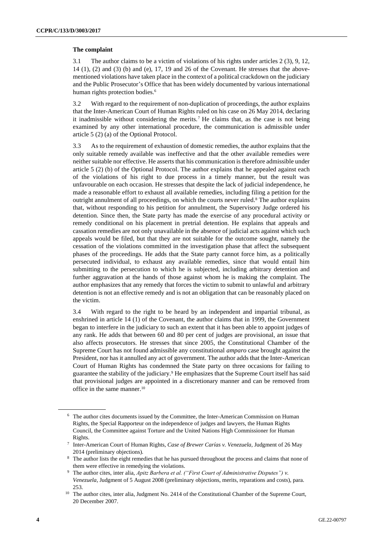#### **The complaint**

3.1 The author claims to be a victim of violations of his rights under articles 2 (3), 9, 12, 14 (1), (2) and (3) (b) and (e), 17, 19 and 26 of the Covenant. He stresses that the abovementioned violations have taken place in the context of a political crackdown on the judiciary and the Public Prosecutor's Office that has been widely documented by various international human rights protection bodies.<sup>6</sup>

3.2 With regard to the requirement of non-duplication of proceedings, the author explains that the Inter-American Court of Human Rights ruled on his case on 26 May 2014, declaring it inadmissible without considering the merits.<sup>7</sup> He claims that, as the case is not being examined by any other international procedure, the communication is admissible under article 5 (2) (a) of the Optional Protocol.

3.3 As to the requirement of exhaustion of domestic remedies, the author explains that the only suitable remedy available was ineffective and that the other available remedies were neither suitable nor effective. He asserts that his communication is therefore admissible under article 5 (2) (b) of the Optional Protocol. The author explains that he appealed against each of the violations of his right to due process in a timely manner, but the result was unfavourable on each occasion. He stresses that despite the lack of judicial independence, he made a reasonable effort to exhaust all available remedies, including filing a petition for the outright annulment of all proceedings, on which the courts never ruled.<sup>8</sup> The author explains that, without responding to his petition for annulment, the Supervisory Judge ordered his detention. Since then, the State party has made the exercise of any procedural activity or remedy conditional on his placement in pretrial detention. He explains that appeals and cassation remedies are not only unavailable in the absence of judicial acts against which such appeals would be filed, but that they are not suitable for the outcome sought, namely the cessation of the violations committed in the investigation phase that affect the subsequent phases of the proceedings. He adds that the State party cannot force him, as a politically persecuted individual, to exhaust any available remedies, since that would entail him submitting to the persecution to which he is subjected, including arbitrary detention and further aggravation at the hands of those against whom he is making the complaint. The author emphasizes that any remedy that forces the victim to submit to unlawful and arbitrary detention is not an effective remedy and is not an obligation that can be reasonably placed on the victim.

3.4 With regard to the right to be heard by an independent and impartial tribunal, as enshrined in article 14 (1) of the Covenant, the author claims that in 1999, the Government began to interfere in the judiciary to such an extent that it has been able to appoint judges of any rank. He adds that between 60 and 80 per cent of judges are provisional, an issue that also affects prosecutors. He stresses that since 2005, the Constitutional Chamber of the Supreme Court has not found admissible any constitutional *amparo* case brought against the President, nor has it annulled any act of government. The author adds that the Inter-American Court of Human Rights has condemned the State party on three occasions for failing to guarantee the stability of the judiciary.<sup>9</sup> He emphasizes that the Supreme Court itself has said that provisional judges are appointed in a discretionary manner and can be removed from office in the same manner.<sup>10</sup>

<sup>6</sup> The author cites documents issued by the Committee, the Inter-American Commission on Human Rights, the Special Rapporteur on the independence of judges and lawyers, the Human Rights Council, the Committee against Torture and the United Nations High Commissioner for Human Rights.

<sup>7</sup> Inter-American Court of Human Rights, *Case of Brewer Carías v. Venezuela,* Judgment of 26 May 2014 (preliminary objections).

<sup>&</sup>lt;sup>8</sup> The author lists the eight remedies that he has pursued throughout the process and claims that none of them were effective in remedying the violations.

<sup>9</sup> The author cites, inter alia, *Apitz Barbera et al. ("First Court of Administrative Disputes") v. Venezuela*, Judgment of 5 August 2008 (preliminary objections, merits, reparations and costs), para. 253.

<sup>&</sup>lt;sup>10</sup> The author cites, inter alia, Judgment No. 2414 of the Constitutional Chamber of the Supreme Court, 20 December 2007.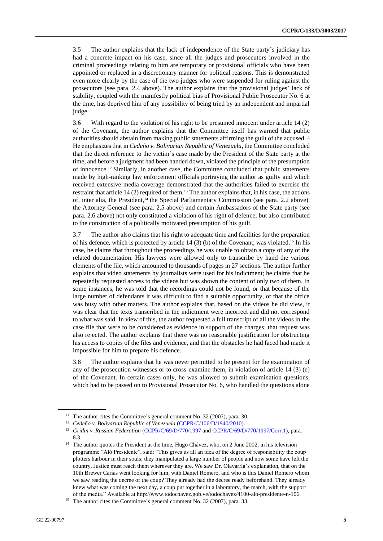3.5 The author explains that the lack of independence of the State party's judiciary has had a concrete impact on his case, since all the judges and prosecutors involved in the criminal proceedings relating to him are temporary or provisional officials who have been appointed or replaced in a discretionary manner for political reasons. This is demonstrated even more clearly by the case of the two judges who were suspended for ruling against the prosecutors (see para. 2.4 above). The author explains that the provisional judges' lack of stability, coupled with the manifestly political bias of Provisional Public Prosecutor No. 6 at the time, has deprived him of any possibility of being tried by an independent and impartial judge.

3.6 With regard to the violation of his right to be presumed innocent under article 14 (2) of the Covenant, the author explains that the Committee itself has warned that public authorities should abstain from making public statements affirming the guilt of the accused.<sup>11</sup> He emphasizes that in *Cedeño v. Bolivarian Republic of Venezuela*, the Committee concluded that the direct reference to the victim's case made by the President of the State party at the time, and before a judgment had been handed down, violated the principle of the presumption of innocence.<sup>12</sup> Similarly, in another case, the Committee concluded that public statements made by high-ranking law enforcement officials portraying the author as guilty and which received extensive media coverage demonstrated that the authorities failed to exercise the restraint that article 14 (2) required of them.<sup>13</sup> The author explains that, in his case, the actions of, inter alia, the President,<sup>14</sup> the Special Parliamentary Commission (see para. 2.2 above), the Attorney General (see para. 2.5 above) and certain Ambassadors of the State party (see para. 2.6 above) not only constituted a violation of his right of defence, but also contributed to the construction of a politically motivated presumption of his guilt.

3.7 The author also claims that his right to adequate time and facilities for the preparation of his defence, which is protected by article 14 (3) (b) of the Covenant, was violated.<sup>15</sup> In his case, he claims that throughout the proceedings he was unable to obtain a copy of any of the related documentation. His lawyers were allowed only to transcribe by hand the various elements of the file, which amounted to thousands of pages in 27 sections. The author further explains that video statements by journalists were used for his indictment; he claims that he repeatedly requested access to the videos but was shown the content of only two of them. In some instances, he was told that the recordings could not be found, or that because of the large number of defendants it was difficult to find a suitable opportunity, or that the office was busy with other matters. The author explains that, based on the videos he did view, it was clear that the texts transcribed in the indictment were incorrect and did not correspond to what was said. In view of this, the author requested a full transcript of all the videos in the case file that were to be considered as evidence in support of the charges; that request was also rejected. The author explains that there was no reasonable justification for obstructing his access to copies of the files and evidence, and that the obstacles he had faced had made it impossible for him to prepare his defence.

3.8 The author explains that he was never permitted to be present for the examination of any of the prosecution witnesses or to cross-examine them, in violation of article 14 (3) (e) of the Covenant. In certain cases only, he was allowed to submit examination questions, which had to be passed on to Provisional Prosecutor No. 6, who handled the questions alone

<sup>&</sup>lt;sup>11</sup> The author cites the Committee's general comment No. 32 (2007), para. 30.

<sup>12</sup> *Cedeño v. Bolivarian Republic of Venezuela* [\(CCPR/C/106/D/1940/2010\)](http://undocs.org/en/CCPR/C/106/D/1940/2010).

<sup>&</sup>lt;sup>13</sup> *Gridin v. Russian Federation* [\(CCPR/C/69/D/770/1997](http://undocs.org/en/CCPR/C/69/D/770/1997) an[d CCPR/C/69/D/770/1997/Corr.1\)](http://undocs.org/en/CCPR/C/69/D/770/1997/Corr.1), para. 8.3.

<sup>&</sup>lt;sup>14</sup> The author quotes the President at the time, Hugo Chávez, who, on 2 June 2002, in his television programme "Aló Presidente", said: "This gives us all an idea of the degree of responsibility the coup plotters harbour in their souls; they manipulated a large number of people and now some have left the country. Justice must reach them wherever they are. We saw Dr. Olavarría's explanation, that on the 10th Brewer Carías went looking for him, with Daniel Romero, and who is this Daniel Romero whom we saw reading the decree of the coup? They already had the decree ready beforehand. They already knew what was coming the next day, a coup put together in a laboratory, the march, with the support of the media." Available at http://www.todochavez.gob.ve/todochavez/4100-alo-presidente-n-106.

<sup>&</sup>lt;sup>15</sup> The author cites the Committee's general comment No. 32 (2007), para. 33.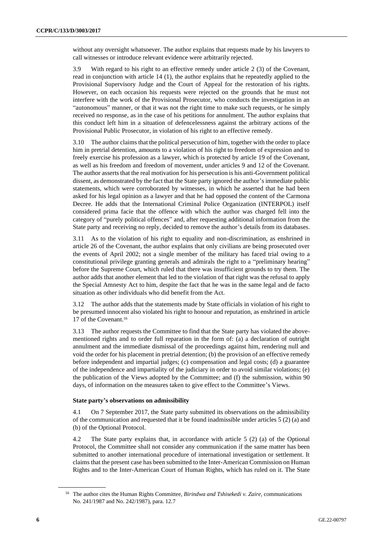without any oversight whatsoever. The author explains that requests made by his lawyers to call witnesses or introduce relevant evidence were arbitrarily rejected.

3.9 With regard to his right to an effective remedy under article 2 (3) of the Covenant, read in conjunction with article 14 (1), the author explains that he repeatedly applied to the Provisional Supervisory Judge and the Court of Appeal for the restoration of his rights. However, on each occasion his requests were rejected on the grounds that he must not interfere with the work of the Provisional Prosecutor, who conducts the investigation in an "autonomous" manner, or that it was not the right time to make such requests, or he simply received no response, as in the case of his petitions for annulment. The author explains that this conduct left him in a situation of defencelessness against the arbitrary actions of the Provisional Public Prosecutor, in violation of his right to an effective remedy.

3.10 The author claims that the political persecution of him, together with the order to place him in pretrial detention, amounts to a violation of his right to freedom of expression and to freely exercise his profession as a lawyer, which is protected by article 19 of the Covenant, as well as his freedom and freedom of movement, under articles 9 and 12 of the Covenant. The author asserts that the real motivation for his persecution is his anti-Government political dissent, as demonstrated by the fact that the State party ignored the author's immediate public statements, which were corroborated by witnesses, in which he asserted that he had been asked for his legal opinion as a lawyer and that he had opposed the content of the Carmona Decree. He adds that the International Criminal Police Organization (INTERPOL) itself considered prima facie that the offence with which the author was charged fell into the category of "purely political offences" and, after requesting additional information from the State party and receiving no reply, decided to remove the author's details from its databases.

3.11 As to the violation of his right to equality and non-discrimination, as enshrined in article 26 of the Covenant, the author explains that only civilians are being prosecuted over the events of April 2002; not a single member of the military has faced trial owing to a constitutional privilege granting generals and admirals the right to a "preliminary hearing" before the Supreme Court, which ruled that there was insufficient grounds to try them. The author adds that another element that led to the violation of that right was the refusal to apply the Special Amnesty Act to him, despite the fact that he was in the same legal and de facto situation as other individuals who did benefit from the Act.

3.12 The author adds that the statements made by State officials in violation of his right to be presumed innocent also violated his right to honour and reputation, as enshrined in article 17 of the Covenant.<sup>16</sup>

3.13 The author requests the Committee to find that the State party has violated the abovementioned rights and to order full reparation in the form of: (a) a declaration of outright annulment and the immediate dismissal of the proceedings against him, rendering null and void the order for his placement in pretrial detention; (b) the provision of an effective remedy before independent and impartial judges; (c) compensation and legal costs; (d) a guarantee of the independence and impartiality of the judiciary in order to avoid similar violations; (e) the publication of the Views adopted by the Committee; and (f) the submission, within 90 days, of information on the measures taken to give effect to the Committee's Views.

#### **State party's observations on admissibility**

4.1 On 7 September 2017, the State party submitted its observations on the admissibility of the communication and requested that it be found inadmissible under articles 5 (2) (a) and (b) of the Optional Protocol.

4.2 The State party explains that, in accordance with article 5 (2) (a) of the Optional Protocol, the Committee shall not consider any communication if the same matter has been submitted to another international procedure of international investigation or settlement. It claims that the present case has been submitted to the Inter-American Commission on Human Rights and to the Inter-American Court of Human Rights, which has ruled on it. The State

<sup>16</sup> The author cites the Human Rights Committee, *Birindwa and Tshisekedi v. Zaire*, communications No. 241/1987 and No. 242/1987), para. 12.7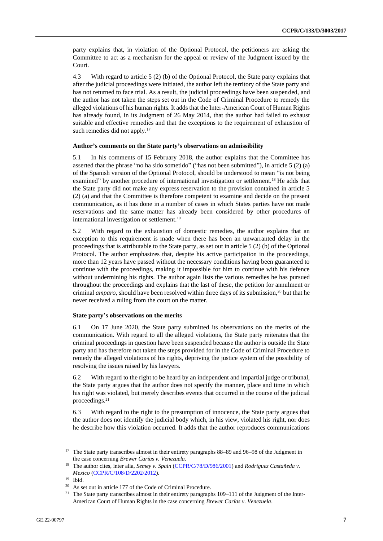party explains that, in violation of the Optional Protocol, the petitioners are asking the Committee to act as a mechanism for the appeal or review of the Judgment issued by the Court.

4.3 With regard to article 5 (2) (b) of the Optional Protocol, the State party explains that after the judicial proceedings were initiated, the author left the territory of the State party and has not returned to face trial. As a result, the judicial proceedings have been suspended, and the author has not taken the steps set out in the Code of Criminal Procedure to remedy the alleged violations of his human rights. It adds that the Inter-American Court of Human Rights has already found, in its Judgment of 26 May 2014, that the author had failed to exhaust suitable and effective remedies and that the exceptions to the requirement of exhaustion of such remedies did not apply.<sup>17</sup>

#### **Author's comments on the State party's observations on admissibility**

5.1 In his comments of 15 February 2018, the author explains that the Committee has asserted that the phrase "no ha sido sometido" ("has not been submitted"), in article 5 (2) (a) of the Spanish version of the Optional Protocol, should be understood to mean "is not being examined" by another procedure of international investigation or settlement.<sup>18</sup> He adds that the State party did not make any express reservation to the provision contained in article 5 (2) (a) and that the Committee is therefore competent to examine and decide on the present communication, as it has done in a number of cases in which States parties have not made reservations and the same matter has already been considered by other procedures of international investigation or settlement.<sup>19</sup>

5.2 With regard to the exhaustion of domestic remedies, the author explains that an exception to this requirement is made when there has been an unwarranted delay in the proceedings that is attributable to the State party, as set out in article 5 (2) (b) of the Optional Protocol. The author emphasizes that, despite his active participation in the proceedings, more than 12 years have passed without the necessary conditions having been guaranteed to continue with the proceedings, making it impossible for him to continue with his defence without undermining his rights. The author again lists the various remedies he has pursued throughout the proceedings and explains that the last of these, the petition for annulment or criminal *amparo*, should have been resolved within three days of its submission,<sup>20</sup> but that he never received a ruling from the court on the matter.

#### **State party's observations on the merits**

6.1 On 17 June 2020, the State party submitted its observations on the merits of the communication. With regard to all the alleged violations, the State party reiterates that the criminal proceedings in question have been suspended because the author is outside the State party and has therefore not taken the steps provided for in the Code of Criminal Procedure to remedy the alleged violations of his rights, depriving the justice system of the possibility of resolving the issues raised by his lawyers.

6.2 With regard to the right to be heard by an independent and impartial judge or tribunal, the State party argues that the author does not specify the manner, place and time in which his right was violated, but merely describes events that occurred in the course of the judicial proceedings.<sup>21</sup>

6.3 With regard to the right to the presumption of innocence, the State party argues that the author does not identify the judicial body which, in his view, violated his right, nor does he describe how this violation occurred. It adds that the author reproduces communications

<sup>17</sup> The State party transcribes almost in their entirety paragraphs 88–89 and 96–98 of the Judgment in the case concerning *Brewer Carías v. Venezuela*.

<sup>&</sup>lt;sup>18</sup> The author cites, inter alia, *Semey v. Spain* [\(CCPR/C/78/D/986/2001\)](http://undocs.org/en/CCPR/C/78/D/986/2001) and *Rodríguez Castañeda v. Mexico* [\(CCPR/C/108/D/2202/2012\)](http://undocs.org/en/CCPR/C/108/D/2202/2012).

<sup>19</sup> Ibid.

<sup>20</sup> As set out in article 177 of the Code of Criminal Procedure.

<sup>&</sup>lt;sup>21</sup> The State party transcribes almost in their entirety paragraphs  $109-111$  of the Judgment of the Inter-American Court of Human Rights in the case concerning *Brewer Carías v. Venezuela*.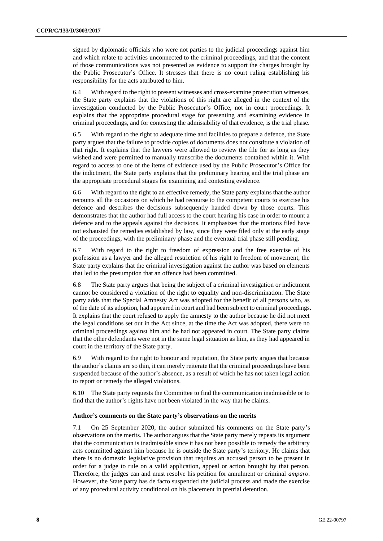signed by diplomatic officials who were not parties to the judicial proceedings against him and which relate to activities unconnected to the criminal proceedings, and that the content of those communications was not presented as evidence to support the charges brought by the Public Prosecutor's Office. It stresses that there is no court ruling establishing his responsibility for the acts attributed to him.

6.4 With regard to the right to present witnesses and cross-examine prosecution witnesses, the State party explains that the violations of this right are alleged in the context of the investigation conducted by the Public Prosecutor's Office, not in court proceedings. It explains that the appropriate procedural stage for presenting and examining evidence in criminal proceedings, and for contesting the admissibility of that evidence, is the trial phase.

6.5 With regard to the right to adequate time and facilities to prepare a defence, the State party argues that the failure to provide copies of documents does not constitute a violation of that right. It explains that the lawyers were allowed to review the file for as long as they wished and were permitted to manually transcribe the documents contained within it. With regard to access to one of the items of evidence used by the Public Prosecutor's Office for the indictment, the State party explains that the preliminary hearing and the trial phase are the appropriate procedural stages for examining and contesting evidence.

6.6 With regard to the right to an effective remedy, the State party explains that the author recounts all the occasions on which he had recourse to the competent courts to exercise his defence and describes the decisions subsequently handed down by those courts. This demonstrates that the author had full access to the court hearing his case in order to mount a defence and to the appeals against the decisions. It emphasizes that the motions filed have not exhausted the remedies established by law, since they were filed only at the early stage of the proceedings, with the preliminary phase and the eventual trial phase still pending.

6.7 With regard to the right to freedom of expression and the free exercise of his profession as a lawyer and the alleged restriction of his right to freedom of movement, the State party explains that the criminal investigation against the author was based on elements that led to the presumption that an offence had been committed.

6.8 The State party argues that being the subject of a criminal investigation or indictment cannot be considered a violation of the right to equality and non-discrimination. The State party adds that the Special Amnesty Act was adopted for the benefit of all persons who, as of the date of its adoption, had appeared in court and had been subject to criminal proceedings. It explains that the court refused to apply the amnesty to the author because he did not meet the legal conditions set out in the Act since, at the time the Act was adopted, there were no criminal proceedings against him and he had not appeared in court. The State party claims that the other defendants were not in the same legal situation as him, as they had appeared in court in the territory of the State party.

6.9 With regard to the right to honour and reputation, the State party argues that because the author's claims are so thin, it can merely reiterate that the criminal proceedings have been suspended because of the author's absence, as a result of which he has not taken legal action to report or remedy the alleged violations.

6.10 The State party requests the Committee to find the communication inadmissible or to find that the author's rights have not been violated in the way that he claims.

#### **Author's comments on the State party's observations on the merits**

7.1 On 25 September 2020, the author submitted his comments on the State party's observations on the merits. The author argues that the State party merely repeats its argument that the communication is inadmissible since it has not been possible to remedy the arbitrary acts committed against him because he is outside the State party's territory. He claims that there is no domestic legislative provision that requires an accused person to be present in order for a judge to rule on a valid application, appeal or action brought by that person. Therefore, the judges can and must resolve his petition for annulment or criminal *amparo*. However, the State party has de facto suspended the judicial process and made the exercise of any procedural activity conditional on his placement in pretrial detention.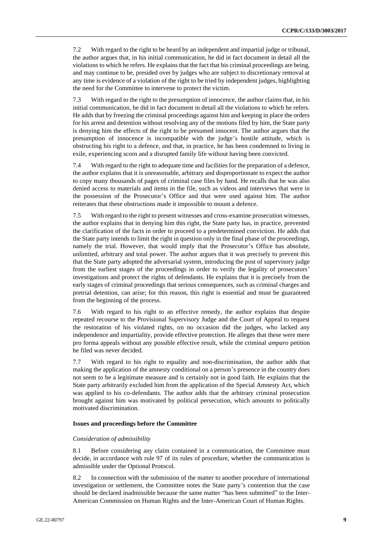7.2 With regard to the right to be heard by an independent and impartial judge or tribunal, the author argues that, in his initial communication, he did in fact document in detail all the violations to which he refers. He explains that the fact that his criminal proceedings are being, and may continue to be, presided over by judges who are subject to discretionary removal at any time is evidence of a violation of the right to be tried by independent judges, highlighting the need for the Committee to intervene to protect the victim.

7.3 With regard to the right to the presumption of innocence, the author claims that, in his initial communication, he did in fact document in detail all the violations to which he refers. He adds that by freezing the criminal proceedings against him and keeping in place the orders for his arrest and detention without resolving any of the motions filed by him, the State party is denying him the effects of the right to be presumed innocent. The author argues that the presumption of innocence is incompatible with the judge's hostile attitude, which is obstructing his right to a defence, and that, in practice, he has been condemned to living in exile, experiencing scorn and a disrupted family life without having been convicted.

7.4 With regard to the right to adequate time and facilities for the preparation of a defence, the author explains that it is unreasonable, arbitrary and disproportionate to expect the author to copy many thousands of pages of criminal case files by hand. He recalls that he was also denied access to materials and items in the file, such as videos and interviews that were in the possession of the Prosecutor's Office and that were used against him. The author reiterates that these obstructions made it impossible to mount a defence.

7.5 With regard to the right to present witnesses and cross-examine prosecution witnesses, the author explains that in denying him this right, the State party has, in practice, prevented the clarification of the facts in order to proceed to a predetermined conviction. He adds that the State party intends to limit the right in question only in the final phase of the proceedings, namely the trial. However, that would imply that the Prosecutor's Office has absolute, unlimited, arbitrary and total power. The author argues that it was precisely to prevent this that the State party adopted the adversarial system, introducing the post of supervisory judge from the earliest stages of the proceedings in order to verify the legality of prosecutors' investigations and protect the rights of defendants. He explains that it is precisely from the early stages of criminal proceedings that serious consequences, such as criminal charges and pretrial detention, can arise; for this reason, this right is essential and must be guaranteed from the beginning of the process.

7.6 With regard to his right to an effective remedy, the author explains that despite repeated recourse to the Provisional Supervisory Judge and the Court of Appeal to request the restoration of his violated rights, on no occasion did the judges, who lacked any independence and impartiality, provide effective protection. He alleges that these were mere pro forma appeals without any possible effective result, while the criminal *amparo* petition he filed was never decided.

7.7 With regard to his right to equality and non-discrimination, the author adds that making the application of the amnesty conditional on a person's presence in the country does not seem to be a legitimate measure and is certainly not in good faith. He explains that the State party arbitrarily excluded him from the application of the Special Amnesty Act, which was applied to his co-defendants. The author adds that the arbitrary criminal prosecution brought against him was motivated by political persecution, which amounts to politically motivated discrimination.

#### **Issues and proceedings before the Committee**

#### *Consideration of admissibility*

8.1 Before considering any claim contained in a communication, the Committee must decide, in accordance with rule 97 of its rules of procedure, whether the communication is admissible under the Optional Protocol.

8.2 In connection with the submission of the matter to another procedure of international investigation or settlement, the Committee notes the State party's contention that the case should be declared inadmissible because the same matter "has been submitted" to the Inter-American Commission on Human Rights and the Inter-American Court of Human Rights.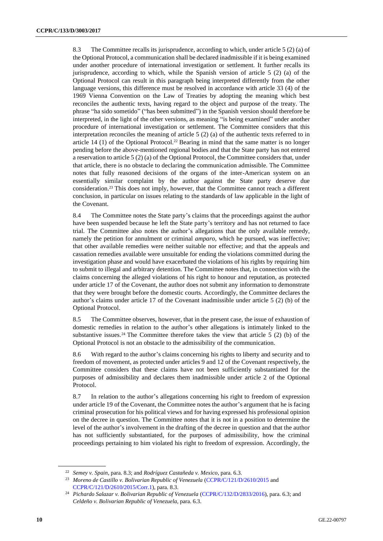8.3 The Committee recalls its jurisprudence, according to which, under article 5 (2) (a) of the Optional Protocol, a communication shall be declared inadmissible if it is being examined under another procedure of international investigation or settlement. It further recalls its jurisprudence, according to which, while the Spanish version of article 5 (2) (a) of the Optional Protocol can result in this paragraph being interpreted differently from the other language versions, this difference must be resolved in accordance with article 33 (4) of the 1969 Vienna Convention on the Law of Treaties by adopting the meaning which best reconciles the authentic texts, having regard to the object and purpose of the treaty. The phrase "ha sido sometido" ("has been submitted") in the Spanish version should therefore be interpreted, in the light of the other versions, as meaning "is being examined" under another procedure of international investigation or settlement. The Committee considers that this interpretation reconciles the meaning of article 5 (2) (a) of the authentic texts referred to in article 14 (1) of the Optional Protocol.<sup>22</sup> Bearing in mind that the same matter is no longer pending before the above-mentioned regional bodies and that the State party has not entered a reservation to article 5 (2) (a) of the Optional Protocol, the Committee considers that, under that article, there is no obstacle to declaring the communication admissible. The Committee notes that fully reasoned decisions of the organs of the inter-American system on an essentially similar complaint by the author against the State party deserve due consideration.<sup>23</sup> This does not imply, however, that the Committee cannot reach a different conclusion, in particular on issues relating to the standards of law applicable in the light of the Covenant.

8.4 The Committee notes the State party's claims that the proceedings against the author have been suspended because he left the State party's territory and has not returned to face trial. The Committee also notes the author's allegations that the only available remedy, namely the petition for annulment or criminal *amparo*, which he pursued, was ineffective; that other available remedies were neither suitable nor effective; and that the appeals and cassation remedies available were unsuitable for ending the violations committed during the investigation phase and would have exacerbated the violations of his rights by requiring him to submit to illegal and arbitrary detention. The Committee notes that, in connection with the claims concerning the alleged violations of his right to honour and reputation, as protected under article 17 of the Covenant, the author does not submit any information to demonstrate that they were brought before the domestic courts. Accordingly, the Committee declares the author's claims under article 17 of the Covenant inadmissible under article 5 (2) (b) of the Optional Protocol.

8.5 The Committee observes, however, that in the present case, the issue of exhaustion of domestic remedies in relation to the author's other allegations is intimately linked to the substantive issues.<sup>24</sup> The Committee therefore takes the view that article 5 (2) (b) of the Optional Protocol is not an obstacle to the admissibility of the communication.

8.6 With regard to the author's claims concerning his rights to liberty and security and to freedom of movement, as protected under articles 9 and 12 of the Covenant respectively, the Committee considers that these claims have not been sufficiently substantiated for the purposes of admissibility and declares them inadmissible under article 2 of the Optional Protocol.

8.7 In relation to the author's allegations concerning his right to freedom of expression under article 19 of the Covenant, the Committee notes the author's argument that he is facing criminal prosecution for his political views and for having expressed his professional opinion on the decree in question. The Committee notes that it is not in a position to determine the level of the author's involvement in the drafting of the decree in question and that the author has not sufficiently substantiated, for the purposes of admissibility, how the criminal proceedings pertaining to him violated his right to freedom of expression. Accordingly, the

<sup>22</sup> *Semey v. Spain*, para. 8.3; and *Rodríguez Castañeda v. Mexico*, para. 6.3.

<sup>&</sup>lt;sup>23</sup> Moreno de Castillo v. Bolivarian Republic of Venezuela [\(CCPR/C/121/D/2610/2015](http://undocs.org/en/CCPR/C/121/D/2610/2015) and [CCPR/C/121/D/2610/2015/Corr.1\)](http://undocs.org/en/CCPR/C/121/D/2610/2015/Corr.1), para. 8.3.

<sup>&</sup>lt;sup>24</sup> Pichardo Salazar v. Bolivarian Republic of Venezuela [\(CCPR/C/132/D/2833/2016\)](http://undocs.org/en/CCPR/C/132/D/2833/2016), para. 6.3; and *Celdeño v. Bolivarian Republic of Venezuela*, para. 6.3.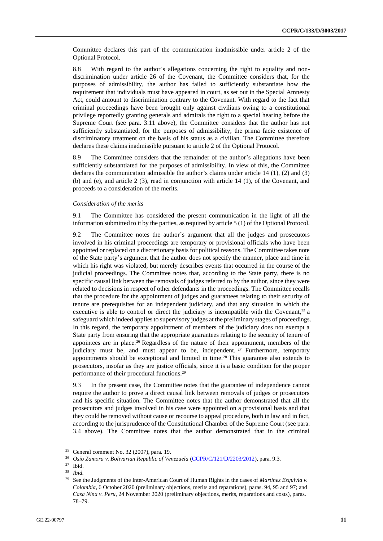Committee declares this part of the communication inadmissible under article 2 of the Optional Protocol.

8.8 With regard to the author's allegations concerning the right to equality and nondiscrimination under article 26 of the Covenant, the Committee considers that, for the purposes of admissibility, the author has failed to sufficiently substantiate how the requirement that individuals must have appeared in court, as set out in the Special Amnesty Act, could amount to discrimination contrary to the Covenant. With regard to the fact that criminal proceedings have been brought only against civilians owing to a constitutional privilege reportedly granting generals and admirals the right to a special hearing before the Supreme Court (see para. 3.11 above), the Committee considers that the author has not sufficiently substantiated, for the purposes of admissibility, the prima facie existence of discriminatory treatment on the basis of his status as a civilian. The Committee therefore declares these claims inadmissible pursuant to article 2 of the Optional Protocol.

8.9 The Committee considers that the remainder of the author's allegations have been sufficiently substantiated for the purposes of admissibility. In view of this, the Committee declares the communication admissible the author's claims under article 14  $(1)$ ,  $(2)$  and  $(3)$ (b) and (e), and article 2 (3), read in conjunction with article 14 (1), of the Covenant, and proceeds to a consideration of the merits.

#### *Consideration of the merits*

9.1 The Committee has considered the present communication in the light of all the information submitted to it by the parties, as required by article 5 (1) of the Optional Protocol.

9.2 The Committee notes the author's argument that all the judges and prosecutors involved in his criminal proceedings are temporary or provisional officials who have been appointed or replaced on a discretionary basis for political reasons. The Committee takes note of the State party's argument that the author does not specify the manner, place and time in which his right was violated, but merely describes events that occurred in the course of the judicial proceedings. The Committee notes that, according to the State party, there is no specific causal link between the removals of judges referred to by the author, since they were related to decisions in respect of other defendants in the proceedings. The Committee recalls that the procedure for the appointment of judges and guarantees relating to their security of tenure are prerequisites for an independent judiciary, and that any situation in which the executive is able to control or direct the judiciary is incompatible with the Covenant,<sup>25</sup> a safeguard which indeed applies to supervisory judges at the preliminary stages of proceedings. In this regard, the temporary appointment of members of the judiciary does not exempt a State party from ensuring that the appropriate guarantees relating to the security of tenure of appointees are in place.<sup>26</sup> Regardless of the nature of their appointment, members of the judiciary must be, and must appear to be, independent.  $27$  Furthermore, temporary appointments should be exceptional and limited in time.<sup>28</sup> This guarantee also extends to prosecutors, insofar as they are justice officials, since it is a basic condition for the proper performance of their procedural functions.<sup>29</sup>

9.3 In the present case, the Committee notes that the guarantee of independence cannot require the author to prove a direct causal link between removals of judges or prosecutors and his specific situation. The Committee notes that the author demonstrated that all the prosecutors and judges involved in his case were appointed on a provisional basis and that they could be removed without cause or recourse to appeal procedure, both in law and in fact, according to the jurisprudence of the Constitutional Chamber of the Supreme Court (see para. 3.4 above). The Committee notes that the author demonstrated that in the criminal

<sup>25</sup> General comment No. 32 (2007), para. 19.

<sup>26</sup> *Osío Zamora v. Bolivarian Republic of Venezuela* [\(CCPR/C/121/D/2203/2012\)](http://undocs.org/en/CCPR/C/121/D/2203/2012), para. 9.3.

Ibid.

<sup>28</sup> *Ibid.*

See the Judgments of the Inter-American Court of Human Rights in the cases of *Martínez Esquivia v. Colombia*, 6 October 2020 (preliminary objections, merits and reparations), paras. 94, 95 and 97; and *Casa Nina v. Peru,* 24 November 2020 (preliminary objections, merits, reparations and costs)*,* paras. 78–79.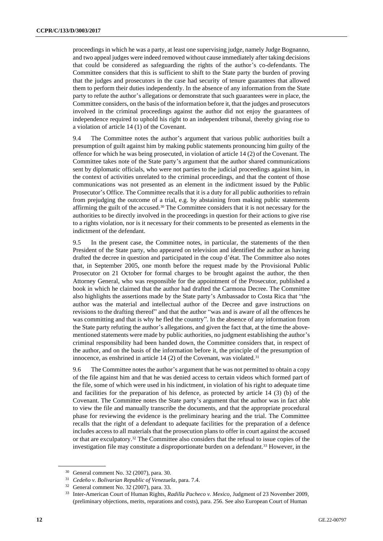proceedings in which he was a party, at least one supervising judge, namely Judge Bognanno, and two appeal judges were indeed removed without cause immediately after taking decisions that could be considered as safeguarding the rights of the author's co-defendants. The Committee considers that this is sufficient to shift to the State party the burden of proving that the judges and prosecutors in the case had security of tenure guarantees that allowed them to perform their duties independently. In the absence of any information from the State party to refute the author's allegations or demonstrate that such guarantees were in place, the Committee considers, on the basis of the information before it, that the judges and prosecutors involved in the criminal proceedings against the author did not enjoy the guarantees of independence required to uphold his right to an independent tribunal, thereby giving rise to a violation of article 14 (1) of the Covenant.

9.4 The Committee notes the author's argument that various public authorities built a presumption of guilt against him by making public statements pronouncing him guilty of the offence for which he was being prosecuted, in violation of article 14 (2) of the Covenant. The Committee takes note of the State party's argument that the author shared communications sent by diplomatic officials, who were not parties to the judicial proceedings against him, in the context of activities unrelated to the criminal proceedings, and that the content of those communications was not presented as an element in the indictment issued by the Public Prosecutor's Office. The Committee recalls that it is a duty for all public authorities to refrain from prejudging the outcome of a trial, e.g. by abstaining from making public statements affirming the guilt of the accused.<sup>30</sup> The Committee considers that it is not necessary for the authorities to be directly involved in the proceedings in question for their actions to give rise to a rights violation, nor is it necessary for their comments to be presented as elements in the indictment of the defendant.

9.5 In the present case, the Committee notes, in particular, the statements of the then President of the State party, who appeared on television and identified the author as having drafted the decree in question and participated in the coup d'état. The Committee also notes that, in September 2005, one month before the request made by the Provisional Public Prosecutor on 21 October for formal charges to be brought against the author, the then Attorney General, who was responsible for the appointment of the Prosecutor, published a book in which he claimed that the author had drafted the Carmona Decree. The Committee also highlights the assertions made by the State party's Ambassador to Costa Rica that "the author was the material and intellectual author of the Decree and gave instructions on revisions to the drafting thereof" and that the author "was and is aware of all the offences he was committing and that is why he fled the country". In the absence of any information from the State party refuting the author's allegations, and given the fact that, at the time the abovementioned statements were made by public authorities, no judgment establishing the author's criminal responsibility had been handed down, the Committee considers that, in respect of the author, and on the basis of the information before it, the principle of the presumption of innocence, as enshrined in article 14 (2) of the Covenant, was violated.<sup>31</sup>

9.6 The Committee notes the author's argument that he was not permitted to obtain a copy of the file against him and that he was denied access to certain videos which formed part of the file, some of which were used in his indictment, in violation of his right to adequate time and facilities for the preparation of his defence, as protected by article 14 (3) (b) of the Covenant. The Committee notes the State party's argument that the author was in fact able to view the file and manually transcribe the documents, and that the appropriate procedural phase for reviewing the evidence is the preliminary hearing and the trial. The Committee recalls that the right of a defendant to adequate facilities for the preparation of a defence includes access to all materials that the prosecution plans to offer in court against the accused or that are exculpatory.<sup>32</sup> The Committee also considers that the refusal to issue copies of the investigation file may constitute a disproportionate burden on a defendant.<sup>33</sup> However, in the

<sup>30</sup> General comment No. 32 (2007), para. 30.

<sup>31</sup> *Cedeño v. Bolivarian Republic of Venezuela*, para. 7.4.

<sup>32</sup> General comment No. 32 (2007), para. 33.

<sup>33</sup> Inter-American Court of Human Rights, *Radilla Pacheco v. Mexico*, Judgment of 23 November 2009, (preliminary objections, merits, reparations and costs), para. 256. See also European Court of Human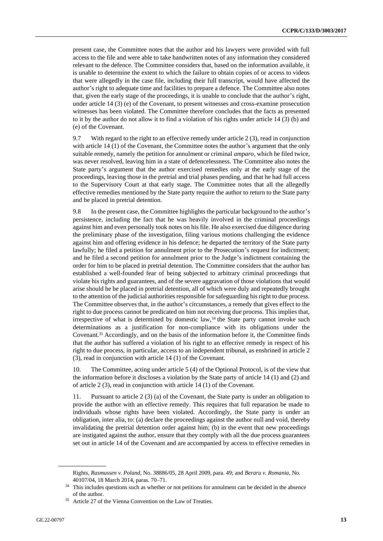present case, the Committee notes that the author and his lawyers were provided with full access to the file and were able to take handwritten notes of any information they considered relevant to the defence. The Committee considers that, based on the information available, it is unable to determine the extent to which the failure to obtain copies of or access to videos that were allegedly in the case file, including their full transcript, would have affected the author's right to adequate time and facilities to prepare a defence. The Committee also notes that, given the early stage of the proceedings, it is unable to conclude that the author's right, under article 14 (3) (e) of the Covenant, to present witnesses and cross-examine prosecution witnesses has been violated. The Committee therefore concludes that the facts as presented to it by the author do not allow it to find a violation of his rights under article 14 (3) (b) and (e) of the Covenant.

9.7 With regard to the right to an effective remedy under article 2 (3), read in conjunction with article 14 (1) of the Covenant, the Committee notes the author's argument that the only suitable remedy, namely the petition for annulment or criminal *amparo*, which he filed twice, was never resolved, leaving him in a state of defencelessness. The Committee also notes the State party's argument that the author exercised remedies only at the early stage of the proceedings, leaving those in the pretrial and trial phases pending, and that he had full access to the Supervisory Court at that early stage. The Committee notes that all the allegedly effective remedies mentioned by the State party require the author to return to the State party and be placed in pretrial detention.

9.8 In the present case, the Committee highlights the particular background to the author's persistence, including the fact that he was heavily involved in the criminal proceedings against him and even personally took notes on his file. He also exercised due diligence during the preliminary phase of the investigation, filing various motions challenging the evidence against him and offering evidence in his defence; he departed the territory of the State party lawfully; he filed a petition for annulment prior to the Prosecution's request for indictment; and he filed a second petition for annulment prior to the Judge's indictment containing the order for him to be placed in pretrial detention. The Committee considers that the author has established a well-founded fear of being subjected to arbitrary criminal proceedings that violate his rights and guarantees, and of the severe aggravation of those violations that would arise should he be placed in pretrial detention, all of which were duly and repeatedly brought to the attention of the judicial authorities responsible for safeguarding his right to due process. The Committee observes that, in the author's circumstances, a remedy that gives effect to the right to due process cannot be predicated on him not receiving due process. This implies that, irrespective of what is determined by domestic law, $34$  the State party cannot invoke such determinations as a justification for non-compliance with its obligations under the Covenant.<sup>35</sup> Accordingly, and on the basis of the information before it, the Committee finds that the author has suffered a violation of his right to an effective remedy in respect of his right to due process, in particular, access to an independent tribunal, as enshrined in article 2 (3), read in conjunction with article 14 (1) of the Covenant.

10. The Committee, acting under article 5 (4) of the Optional Protocol, is of the view that the information before it discloses a violation by the State party of article 14 (1) and (2) and of article 2 (3), read in conjunction with article 14 (1) of the Covenant.

11. Pursuant to article 2 (3) (a) of the Covenant, the State party is under an obligation to provide the author with an effective remedy. This requires that full reparation be made to individuals whose rights have been violated. Accordingly, the State party is under an obligation, inter alia, to: (a) declare the proceedings against the author null and void, thereby invalidating the pretrial detention order against him; (b) in the event that new proceedings are instigated against the author, ensure that they comply with all the due process guarantees set out in article 14 of the Covenant and are accompanied by access to effective remedies in

Rights, *Rasmussen v. Poland*, No. 38886/05, 28 April 2009, para. 49; and *Beraru v. Romania*, No. 40107/04, 18 March 2014, paras. 70–71.

<sup>&</sup>lt;sup>34</sup> This includes questions such as whether or not petitions for annulment can be decided in the absence of the author.

<sup>&</sup>lt;sup>35</sup> Article 27 of the Vienna Convention on the Law of Treaties.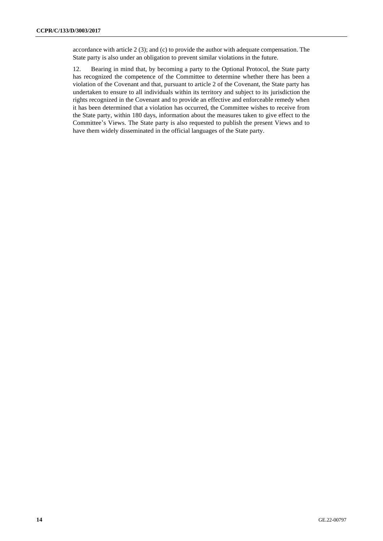accordance with article 2 (3); and (c) to provide the author with adequate compensation. The State party is also under an obligation to prevent similar violations in the future.

12. Bearing in mind that, by becoming a party to the Optional Protocol, the State party has recognized the competence of the Committee to determine whether there has been a violation of the Covenant and that, pursuant to article 2 of the Covenant, the State party has undertaken to ensure to all individuals within its territory and subject to its jurisdiction the rights recognized in the Covenant and to provide an effective and enforceable remedy when it has been determined that a violation has occurred, the Committee wishes to receive from the State party, within 180 days, information about the measures taken to give effect to the Committee's Views. The State party is also requested to publish the present Views and to have them widely disseminated in the official languages of the State party.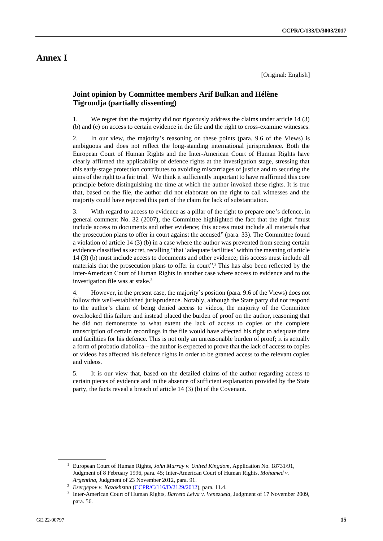# **Annex I**

[Original: English]

### **Joint opinion by Committee members Arif Bulkan and Hélène Tigroudja (partially dissenting)**

1. We regret that the majority did not rigorously address the claims under article 14 (3) (b) and (e) on access to certain evidence in the file and the right to cross-examine witnesses.

2. In our view, the majority's reasoning on these points (para. 9.6 of the Views) is ambiguous and does not reflect the long-standing international jurisprudence. Both the European Court of Human Rights and the Inter-American Court of Human Rights have clearly affirmed the applicability of defence rights at the investigation stage, stressing that this early-stage protection contributes to avoiding miscarriages of justice and to securing the aims of the right to a fair trial.<sup>1</sup> We think it sufficiently important to have reaffirmed this core principle before distinguishing the time at which the author invoked these rights. It is true that, based on the file, the author did not elaborate on the right to call witnesses and the majority could have rejected this part of the claim for lack of substantiation.

3. With regard to access to evidence as a pillar of the right to prepare one's defence, in general comment No. 32 (2007), the Committee highlighted the fact that the right "must include access to documents and other evidence; this access must include all materials that the prosecution plans to offer in court against the accused" (para. 33). The Committee found a violation of article 14 (3) (b) in a case where the author was prevented from seeing certain evidence classified as secret, recalling "that 'adequate facilities' within the meaning of article 14 (3) (b) must include access to documents and other evidence; this access must include all materials that the prosecution plans to offer in court". <sup>2</sup> This has also been reflected by the Inter-American Court of Human Rights in another case where access to evidence and to the investigation file was at stake.<sup>3</sup>

4. However, in the present case, the majority's position (para. 9.6 of the Views) does not follow this well-established jurisprudence. Notably, although the State party did not respond to the author's claim of being denied access to videos, the majority of the Committee overlooked this failure and instead placed the burden of proof on the author, reasoning that he did not demonstrate to what extent the lack of access to copies or the complete transcription of certain recordings in the file would have affected his right to adequate time and facilities for his defence. This is not only an unreasonable burden of proof; it is actually a form of probatio diabolica – the author is expected to prove that the lack of access to copies or videos has affected his defence rights in order to be granted access to the relevant copies and videos.

5. It is our view that, based on the detailed claims of the author regarding access to certain pieces of evidence and in the absence of sufficient explanation provided by the State party, the facts reveal a breach of article 14 (3) (b) of the Covenant.

<sup>1</sup> European Court of Human Rights, *John Murray v. United Kingdom*, Application No. 18731/91, Judgment of 8 February 1996, para. 45; Inter-American Court of Human Rights, *Mohamed v. Argentina*, Judgment of 23 November 2012, para. 91.

<sup>2</sup> *Esergepov v. Kazakhstan* [\(CCPR/C/116/D/2129/2012\)](http://undocs.org/en/CCPR/C/116/D/2129/2012), para. 11.4.

<sup>3</sup> Inter-American Court of Human Rights, *Barreto Leiva v. Venezuela*, Judgment of 17 November 2009, para. 56.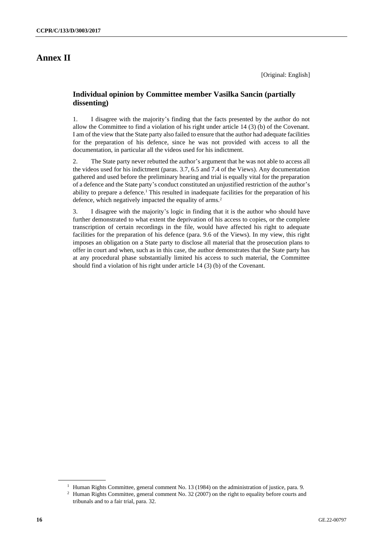### **Annex II**

[Original: English]

### **Individual opinion by Committee member Vasilka Sancin (partially dissenting)**

1. I disagree with the majority's finding that the facts presented by the author do not allow the Committee to find a violation of his right under article 14 (3) (b) of the Covenant. I am of the view that the State party also failed to ensure that the author had adequate facilities for the preparation of his defence, since he was not provided with access to all the documentation, in particular all the videos used for his indictment.

2. The State party never rebutted the author's argument that he was not able to access all the videos used for his indictment (paras. 3.7, 6.5 and 7.4 of the Views). Any documentation gathered and used before the preliminary hearing and trial is equally vital for the preparation of a defence and the State party's conduct constituted an unjustified restriction of the author's ability to prepare a defence.<sup>1</sup> This resulted in inadequate facilities for the preparation of his defence, which negatively impacted the equality of arms.<sup>2</sup>

3. I disagree with the majority's logic in finding that it is the author who should have further demonstrated to what extent the deprivation of his access to copies, or the complete transcription of certain recordings in the file, would have affected his right to adequate facilities for the preparation of his defence (para. 9.6 of the Views). In my view, this right imposes an obligation on a State party to disclose all material that the prosecution plans to offer in court and when, such as in this case, the author demonstrates that the State party has at any procedural phase substantially limited his access to such material, the Committee should find a violation of his right under article 14 (3) (b) of the Covenant.

<sup>&</sup>lt;sup>1</sup> Human Rights Committee, general comment No. 13 (1984) on the administration of justice, para. 9.

<sup>&</sup>lt;sup>2</sup> Human Rights Committee, general comment No. 32 (2007) on the right to equality before courts and tribunals and to a fair trial, para. 32.